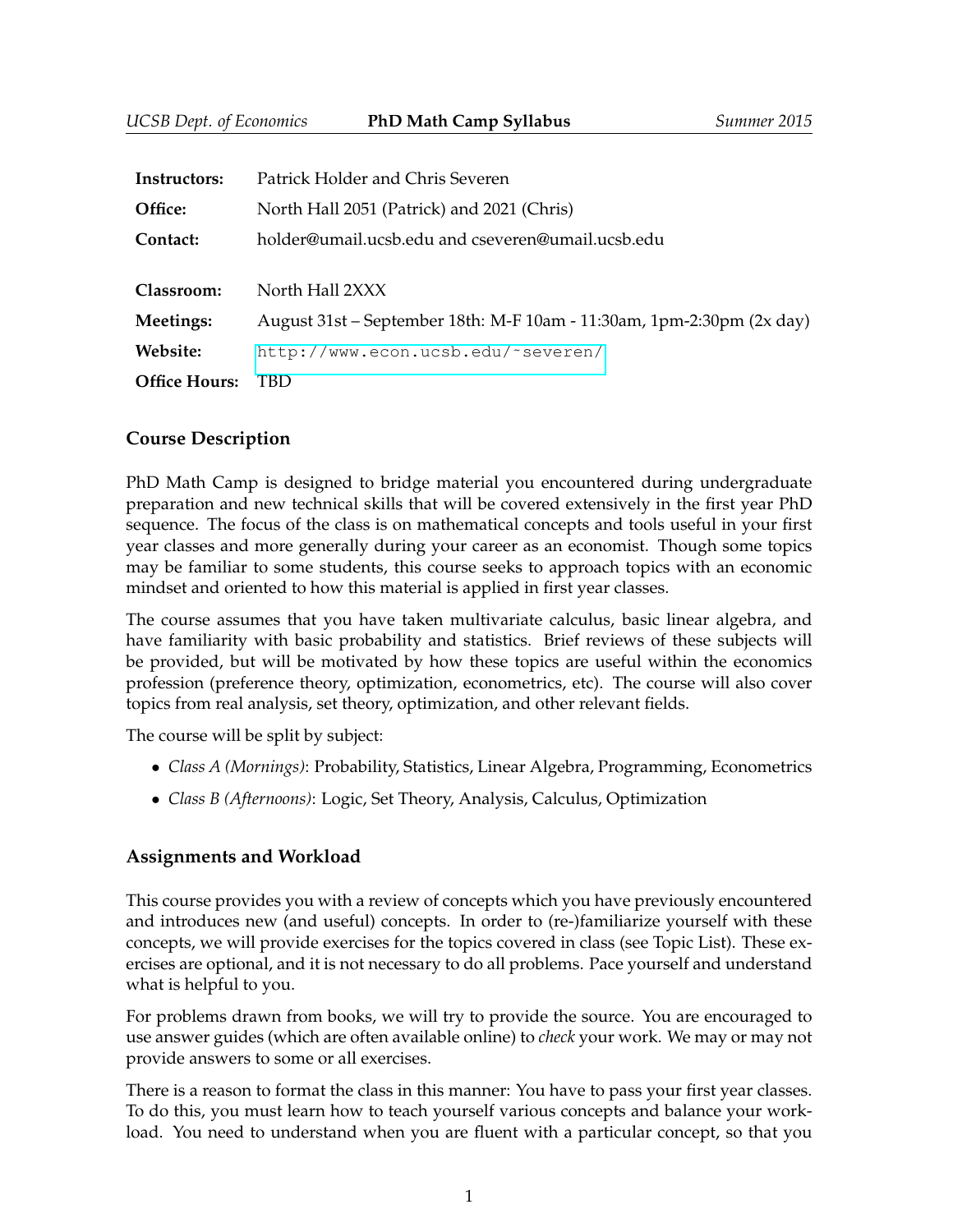| Instructors:         | Patrick Holder and Chris Severen                                      |  |  |
|----------------------|-----------------------------------------------------------------------|--|--|
| Office:              | North Hall 2051 (Patrick) and 2021 (Chris)                            |  |  |
| Contact:             | holder@umail.ucsb.edu and cseveren@umail.ucsb.edu                     |  |  |
|                      |                                                                       |  |  |
| Classroom:           | North Hall 2XXX                                                       |  |  |
| Meetings:            | August 31st – September 18th: M-F 10am - 11:30am, 1pm-2:30pm (2x day) |  |  |
| Website:             | http://www.econ.ucsb.edu/~severen/                                    |  |  |
| <b>Office Hours:</b> | TBD.                                                                  |  |  |

## **Course Description**

PhD Math Camp is designed to bridge material you encountered during undergraduate preparation and new technical skills that will be covered extensively in the first year PhD sequence. The focus of the class is on mathematical concepts and tools useful in your first year classes and more generally during your career as an economist. Though some topics may be familiar to some students, this course seeks to approach topics with an economic mindset and oriented to how this material is applied in first year classes.

The course assumes that you have taken multivariate calculus, basic linear algebra, and have familiarity with basic probability and statistics. Brief reviews of these subjects will be provided, but will be motivated by how these topics are useful within the economics profession (preference theory, optimization, econometrics, etc). The course will also cover topics from real analysis, set theory, optimization, and other relevant fields.

The course will be split by subject:

- *Class A (Mornings)*: Probability, Statistics, Linear Algebra, Programming, Econometrics
- *Class B (Afternoons)*: Logic, Set Theory, Analysis, Calculus, Optimization

## **Assignments and Workload**

This course provides you with a review of concepts which you have previously encountered and introduces new (and useful) concepts. In order to (re-)familiarize yourself with these concepts, we will provide exercises for the topics covered in class (see Topic List). These exercises are optional, and it is not necessary to do all problems. Pace yourself and understand what is helpful to you.

For problems drawn from books, we will try to provide the source. You are encouraged to use answer guides (which are often available online) to *check* your work. We may or may not provide answers to some or all exercises.

There is a reason to format the class in this manner: You have to pass your first year classes. To do this, you must learn how to teach yourself various concepts and balance your workload. You need to understand when you are fluent with a particular concept, so that you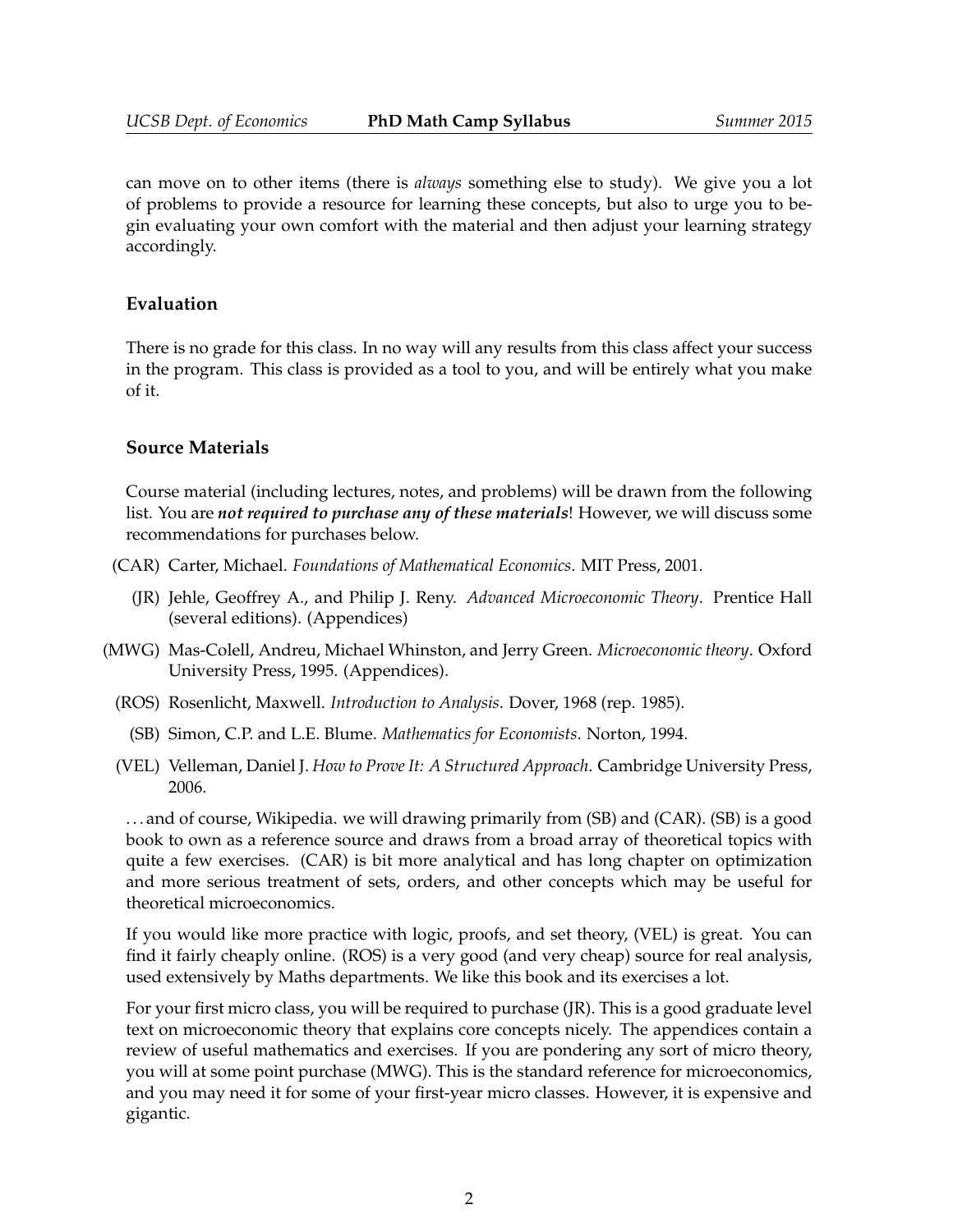can move on to other items (there is *always* something else to study). We give you a lot of problems to provide a resource for learning these concepts, but also to urge you to begin evaluating your own comfort with the material and then adjust your learning strategy accordingly.

### **Evaluation**

There is no grade for this class. In no way will any results from this class affect your success in the program. This class is provided as a tool to you, and will be entirely what you make of it.

#### **Source Materials**

Course material (including lectures, notes, and problems) will be drawn from the following list. You are *not required to purchase any of these materials*! However, we will discuss some recommendations for purchases below.

- (CAR) Carter, Michael. *Foundations of Mathematical Economics*. MIT Press, 2001.
	- (JR) Jehle, Geoffrey A., and Philip J. Reny. *Advanced Microeconomic Theory*. Prentice Hall (several editions). (Appendices)
- (MWG) Mas-Colell, Andreu, Michael Whinston, and Jerry Green. *Microeconomic theory*. Oxford University Press, 1995. (Appendices).
	- (ROS) Rosenlicht, Maxwell. *Introduction to Analysis*. Dover, 1968 (rep. 1985).
		- (SB) Simon, C.P. and L.E. Blume. *Mathematics for Economists*. Norton, 1994.
	- (VEL) Velleman, Daniel J. *How to Prove It: A Structured Approach*. Cambridge University Press, 2006.

. . . and of course, Wikipedia. we will drawing primarily from (SB) and (CAR). (SB) is a good book to own as a reference source and draws from a broad array of theoretical topics with quite a few exercises. (CAR) is bit more analytical and has long chapter on optimization and more serious treatment of sets, orders, and other concepts which may be useful for theoretical microeconomics.

If you would like more practice with logic, proofs, and set theory, (VEL) is great. You can find it fairly cheaply online. (ROS) is a very good (and very cheap) source for real analysis, used extensively by Maths departments. We like this book and its exercises a lot.

For your first micro class, you will be required to purchase (JR). This is a good graduate level text on microeconomic theory that explains core concepts nicely. The appendices contain a review of useful mathematics and exercises. If you are pondering any sort of micro theory, you will at some point purchase (MWG). This is the standard reference for microeconomics, and you may need it for some of your first-year micro classes. However, it is expensive and gigantic.